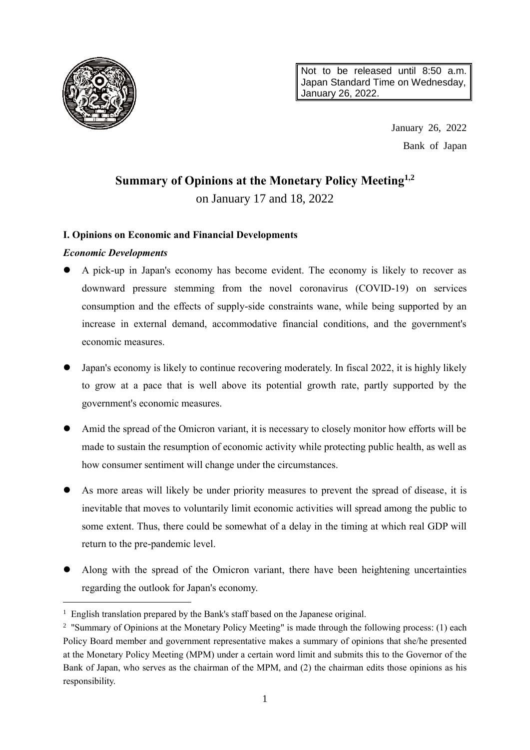

Not to be released until 8:50 a.m. Japan Standard Time on Wednesday, January 26, 2022.

> January 26, 2022 Bank of Japan

# **Summary of Opinions at the Monetary Policy Meeting1,2** on January 17 and 18, 2022

# **I. Opinions on Economic and Financial Developments**

# *Economic Developments*

 $\overline{a}$ 

- A pick-up in Japan's economy has become evident. The economy is likely to recover as downward pressure stemming from the novel coronavirus (COVID-19) on services consumption and the effects of supply-side constraints wane, while being supported by an increase in external demand, accommodative financial conditions, and the government's economic measures.
- Japan's economy is likely to continue recovering moderately. In fiscal 2022, it is highly likely to grow at a pace that is well above its potential growth rate, partly supported by the government's economic measures.
- Amid the spread of the Omicron variant, it is necessary to closely monitor how efforts will be made to sustain the resumption of economic activity while protecting public health, as well as how consumer sentiment will change under the circumstances.
- As more areas will likely be under priority measures to prevent the spread of disease, it is inevitable that moves to voluntarily limit economic activities will spread among the public to some extent. Thus, there could be somewhat of a delay in the timing at which real GDP will return to the pre-pandemic level.
- Along with the spread of the Omicron variant, there have been heightening uncertainties regarding the outlook for Japan's economy.

<sup>&</sup>lt;sup>1</sup> English translation prepared by the Bank's staff based on the Japanese original.

<sup>&</sup>lt;sup>2</sup> "Summary of Opinions at the Monetary Policy Meeting" is made through the following process: (1) each Policy Board member and government representative makes a summary of opinions that she/he presented at the Monetary Policy Meeting (MPM) under a certain word limit and submits this to the Governor of the Bank of Japan, who serves as the chairman of the MPM, and (2) the chairman edits those opinions as his responsibility.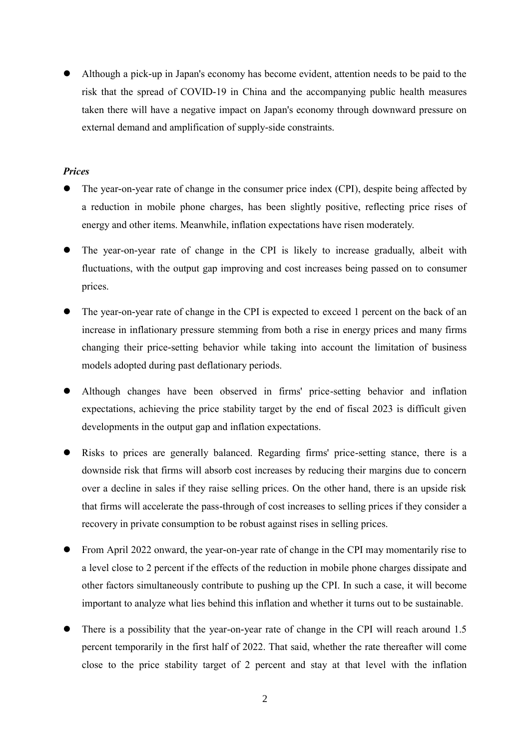Although a pick-up in Japan's economy has become evident, attention needs to be paid to the risk that the spread of COVID-19 in China and the accompanying public health measures taken there will have a negative impact on Japan's economy through downward pressure on external demand and amplification of supply-side constraints.

## *Prices*

- The year-on-year rate of change in the consumer price index (CPI), despite being affected by a reduction in mobile phone charges, has been slightly positive, reflecting price rises of energy and other items. Meanwhile, inflation expectations have risen moderately.
- The year-on-year rate of change in the CPI is likely to increase gradually, albeit with fluctuations, with the output gap improving and cost increases being passed on to consumer prices.
- The year-on-year rate of change in the CPI is expected to exceed 1 percent on the back of an increase in inflationary pressure stemming from both a rise in energy prices and many firms changing their price-setting behavior while taking into account the limitation of business models adopted during past deflationary periods.
- Although changes have been observed in firms' price-setting behavior and inflation expectations, achieving the price stability target by the end of fiscal 2023 is difficult given developments in the output gap and inflation expectations.
- Risks to prices are generally balanced. Regarding firms' price-setting stance, there is a downside risk that firms will absorb cost increases by reducing their margins due to concern over a decline in sales if they raise selling prices. On the other hand, there is an upside risk that firms will accelerate the pass-through of cost increases to selling prices if they consider a recovery in private consumption to be robust against rises in selling prices.
- From April 2022 onward, the year-on-year rate of change in the CPI may momentarily rise to a level close to 2 percent if the effects of the reduction in mobile phone charges dissipate and other factors simultaneously contribute to pushing up the CPI. In such a case, it will become important to analyze what lies behind this inflation and whether it turns out to be sustainable.
- There is a possibility that the year-on-year rate of change in the CPI will reach around 1.5 percent temporarily in the first half of 2022. That said, whether the rate thereafter will come close to the price stability target of 2 percent and stay at that level with the inflation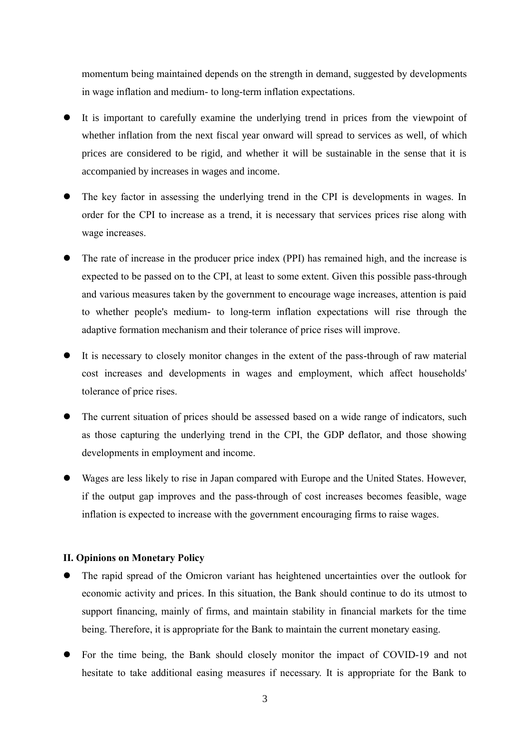momentum being maintained depends on the strength in demand, suggested by developments in wage inflation and medium- to long-term inflation expectations.

- It is important to carefully examine the underlying trend in prices from the viewpoint of whether inflation from the next fiscal year onward will spread to services as well, of which prices are considered to be rigid, and whether it will be sustainable in the sense that it is accompanied by increases in wages and income.
- The key factor in assessing the underlying trend in the CPI is developments in wages. In order for the CPI to increase as a trend, it is necessary that services prices rise along with wage increases.
- The rate of increase in the producer price index (PPI) has remained high, and the increase is expected to be passed on to the CPI, at least to some extent. Given this possible pass-through and various measures taken by the government to encourage wage increases, attention is paid to whether people's medium- to long-term inflation expectations will rise through the adaptive formation mechanism and their tolerance of price rises will improve.
- It is necessary to closely monitor changes in the extent of the pass-through of raw material cost increases and developments in wages and employment, which affect households' tolerance of price rises.
- The current situation of prices should be assessed based on a wide range of indicators, such as those capturing the underlying trend in the CPI, the GDP deflator, and those showing developments in employment and income.
- Wages are less likely to rise in Japan compared with Europe and the United States. However, if the output gap improves and the pass-through of cost increases becomes feasible, wage inflation is expected to increase with the government encouraging firms to raise wages.

#### **II. Opinions on Monetary Policy**

- The rapid spread of the Omicron variant has heightened uncertainties over the outlook for economic activity and prices. In this situation, the Bank should continue to do its utmost to support financing, mainly of firms, and maintain stability in financial markets for the time being. Therefore, it is appropriate for the Bank to maintain the current monetary easing.
- For the time being, the Bank should closely monitor the impact of COVID-19 and not hesitate to take additional easing measures if necessary. It is appropriate for the Bank to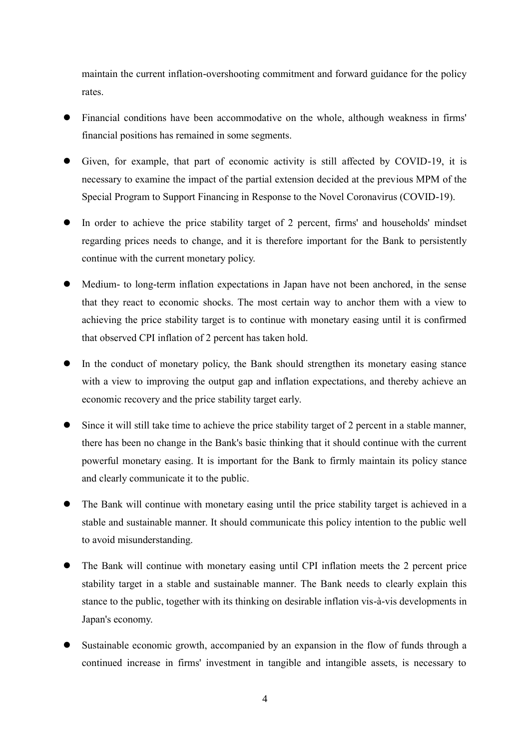maintain the current inflation-overshooting commitment and forward guidance for the policy rates.

- Financial conditions have been accommodative on the whole, although weakness in firms' financial positions has remained in some segments.
- Given, for example, that part of economic activity is still affected by COVID-19, it is necessary to examine the impact of the partial extension decided at the previous MPM of the Special Program to Support Financing in Response to the Novel Coronavirus (COVID-19).
- In order to achieve the price stability target of 2 percent, firms' and households' mindset regarding prices needs to change, and it is therefore important for the Bank to persistently continue with the current monetary policy.
- Medium- to long-term inflation expectations in Japan have not been anchored, in the sense that they react to economic shocks. The most certain way to anchor them with a view to achieving the price stability target is to continue with monetary easing until it is confirmed that observed CPI inflation of 2 percent has taken hold.
- In the conduct of monetary policy, the Bank should strengthen its monetary easing stance with a view to improving the output gap and inflation expectations, and thereby achieve an economic recovery and the price stability target early.
- Since it will still take time to achieve the price stability target of 2 percent in a stable manner, there has been no change in the Bank's basic thinking that it should continue with the current powerful monetary easing. It is important for the Bank to firmly maintain its policy stance and clearly communicate it to the public.
- The Bank will continue with monetary easing until the price stability target is achieved in a stable and sustainable manner. It should communicate this policy intention to the public well to avoid misunderstanding.
- The Bank will continue with monetary easing until CPI inflation meets the 2 percent price stability target in a stable and sustainable manner. The Bank needs to clearly explain this stance to the public, together with its thinking on desirable inflation vis-à-vis developments in Japan's economy.
- Sustainable economic growth, accompanied by an expansion in the flow of funds through a continued increase in firms' investment in tangible and intangible assets, is necessary to